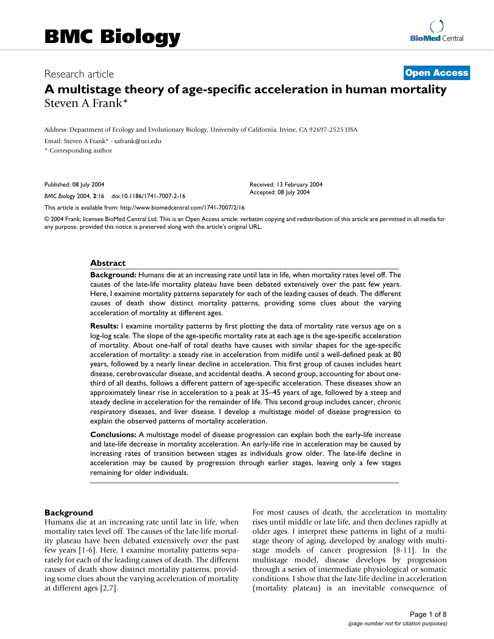# Research article **[Open Access](http://www.biomedcentral.com/info/about/charter/)**

# **A multistage theory of age-specific acceleration in human mortality** Steven A Frank\*

Address: Department of Ecology and Evolutionary Biology, University of California, Irvine, CA 92697-2525 USA

Email: Steven A Frank\* - safrank@uci.edu

\* Corresponding author

Published: 08 July 2004

*BMC Biology* 2004, **2**:16 doi:10.1186/1741-7007-2-16

Received: 13 February 2004 Accepted: 08 July 2004

[This article is available from: http://www.biomedcentral.com/1741-7007/2/16](http://www.biomedcentral.com/1741-7007/2/16)

© 2004 Frank; licensee BioMed Central Ltd. This is an Open Access article: verbatim copying and redistribution of this article are permitted in all media for any purpose, provided this notice is preserved along with the article's original URL.

#### **Abstract**

**Background:** Humans die at an increasing rate until late in life, when mortality rates level off. The causes of the late-life mortality plateau have been debated extensively over the past few years. Here, I examine mortality patterns separately for each of the leading causes of death. The different causes of death show distinct mortality patterns, providing some clues about the varying acceleration of mortality at different ages.

**Results:** I examine mortality patterns by first plotting the data of mortality rate versus age on a log-log scale. The slope of the age-specific mortality rate at each age is the age-specific acceleration of mortality. About one-half of total deaths have causes with similar shapes for the age-specific acceleration of mortality: a steady rise in acceleration from midlife until a well-defined peak at 80 years, followed by a nearly linear decline in acceleration. This first group of causes includes heart disease, cerebrovascular disease, and accidental deaths. A second group, accounting for about onethird of all deaths, follows a different pattern of age-specific acceleration. These diseases show an approximately linear rise in acceleration to a peak at 35–45 years of age, followed by a steep and steady decline in acceleration for the remainder of life. This second group includes cancer, chronic respiratory diseases, and liver disease. I develop a multistage model of disease progression to explain the observed patterns of mortality acceleration.

**Conclusions:** A multistage model of disease progression can explain both the early-life increase and late-life decrease in mortality acceleration. An early-life rise in acceleration may be caused by increasing rates of transition between stages as individuals grow older. The late-life decline in acceleration may be caused by progression through earlier stages, leaving only a few stages remaining for older individuals.

## **Background**

Humans die at an increasing rate until late in life, when mortality rates level off. The causes of the late-life mortality plateau have been debated extensively over the past few years [1-6]. Here, I examine mortality patterns separately for each of the leading causes of death. The different causes of death show distinct mortality patterns, providing some clues about the varying acceleration of mortality at different ages [2,7].

For most causes of death, the acceleration in mortality rises until middle or late life, and then declines rapidly at older ages. I interpret these patterns in light of a multistage theory of aging, developed by analogy with multistage models of cancer progression [8-11]. In the multistage model, disease develops by progression through a series of intermediate physiological or somatic conditions. I show that the late-life decline in acceleration (mortality plateau) is an inevitable consequence of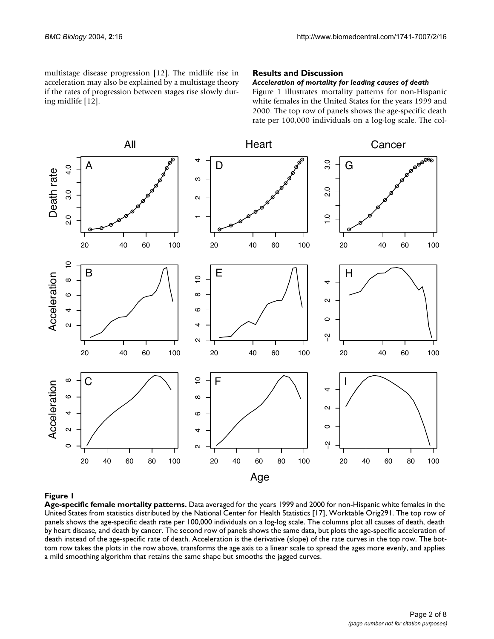multistage disease progression [12]. The midlife rise in acceleration may also be explained by a multistage theory if the rates of progression between stages rise slowly during midlife [12].

## **Results and Discussion**

## *Acceleration of mortality for leading causes of death*

Figure 1 illustrates mortality patterns for non-Hispanic white females in the United States for the years 1999 and 2000. The top row of panels shows the age-specific death rate per 100,000 individuals on a log-log scale. The col-



## **Figure 1**

**Age-specific female mortality patterns.** Data averaged for the years 1999 and 2000 for non-Hispanic white females in the United States from statistics distributed by the National Center for Health Statistics [17], Worktable Orig291. The top row of panels shows the age-specific death rate per 100,000 individuals on a log-log scale. The columns plot all causes of death, death by heart disease, and death by cancer. The second row of panels shows the same data, but plots the age-specific acceleration of death instead of the age-specific rate of death. Acceleration is the derivative (slope) of the rate curves in the top row. The bottom row takes the plots in the row above, transforms the age axis to a linear scale to spread the ages more evenly, and applies a mild smoothing algorithm that retains the same shape but smooths the jagged curves.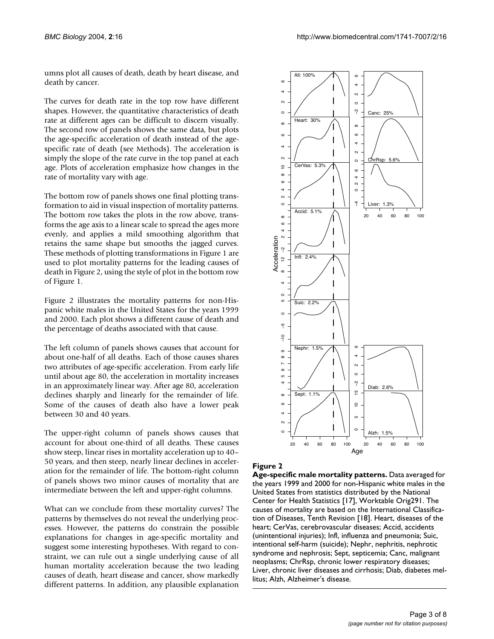umns plot all causes of death, death by heart disease, and death by cancer.

The curves for death rate in the top row have different shapes. However, the quantitative characteristics of death rate at different ages can be difficult to discern visually. The second row of panels shows the same data, but plots the age-specific acceleration of death instead of the agespecific rate of death (see Methods). The acceleration is simply the slope of the rate curve in the top panel at each age. Plots of acceleration emphasize how changes in the rate of mortality vary with age.

The bottom row of panels shows one final plotting transformation to aid in visual inspection of mortality patterns. The bottom row takes the plots in the row above, transforms the age axis to a linear scale to spread the ages more evenly, and applies a mild smoothing algorithm that retains the same shape but smooths the jagged curves. These methods of plotting transformations in Figure 1 are used to plot mortality patterns for the leading causes of death in Figure 2, using the style of plot in the bottom row of Figure 1.

Figure 2 illustrates the mortality patterns for non-Hispanic white males in the United States for the years 1999 and 2000. Each plot shows a different cause of death and the percentage of deaths associated with that cause.

The left column of panels shows causes that account for about one-half of all deaths. Each of those causes shares two attributes of age-specific acceleration. From early life until about age 80, the acceleration in mortality increases in an approximately linear way. After age 80, acceleration declines sharply and linearly for the remainder of life. Some of the causes of death also have a lower peak between 30 and 40 years.

The upper-right column of panels shows causes that account for about one-third of all deaths. These causes show steep, linear rises in mortality acceleration up to 40– 50 years, and then steep, nearly linear declines in acceleration for the remainder of life. The bottom-right column of panels shows two minor causes of mortality that are intermediate between the left and upper-right columns.

What can we conclude from these mortality curves? The patterns by themselves do not reveal the underlying processes. However, the patterns do constrain the possible explanations for changes in age-specific mortality and suggest some interesting hypotheses. With regard to constraint, we can rule out a single underlying cause of all human mortality acceleration because the two leading causes of death, heart disease and cancer, show markedly different patterns. In addition, any plausible explanation



## **Figure 2**

**Age-specific male mortality patterns.** Data averaged for the years 1999 and 2000 for non-Hispanic white males in the United States from statistics distributed by the National Center for Health Statistics [17], Worktable Orig291. The causes of mortality are based on the International Classification of Diseases, Tenth Revision [18]. Heart, diseases of the heart; CerVas, cerebrovascular diseases; Accid, accidents (unintentional injuries); Infl, influenza and pneumonia; Suic, intentional self-harm (suicide); Nephr, nephritis, nephrotic syndrome and nephrosis; Sept, septicemia; Canc, malignant neoplasms; ChrRsp, chronic lower respiratory diseases; Liver, chronic liver diseases and cirrhosis; Diab, diabetes mellitus; Alzh, Alzheimer's disease.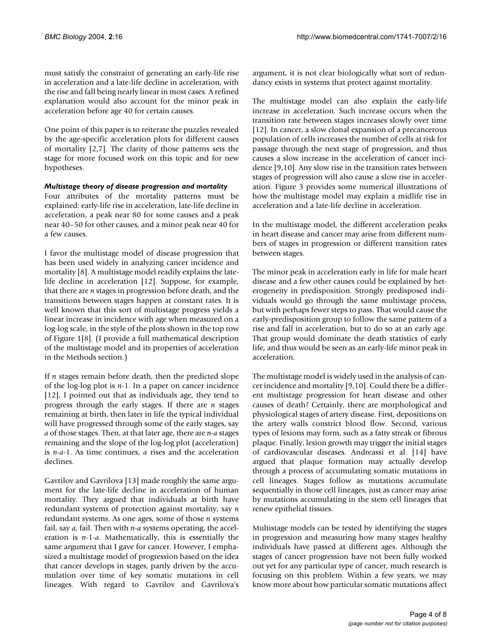must satisfy the constraint of generating an early-life rise in acceleration and a late-life decline in acceleration, with the rise and fall being nearly linear in most cases. A refined explanation would also account for the minor peak in acceleration before age 40 for certain causes.

One point of this paper is to reiterate the puzzles revealed by the age-specific acceleration plots for different causes of mortality [2,7]. The clarity of those patterns sets the stage for more focused work on this topic and for new hypotheses.

## *Multistage theory of disease progression and mortality*

Four attributes of the mortality patterns must be explained: early-life rise in acceleration, late-life decline in acceleration, a peak near 80 for some causes and a peak near 40–50 for other causes, and a minor peak near 40 for a few causes.

I favor the multistage model of disease progression that has been used widely in analyzing cancer incidence and mortality [8]. A multistage model readily explains the latelife decline in acceleration [12]. Suppose, for example, that there are *n* stages in progression before death, and the transitions between stages happen at constant rates. It is well known that this sort of multistage progress yields a linear increase in incidence with age when measured on a log-log scale, in the style of the plots shown in the top row of Figure 1[8]. (I provide a full mathematical description of the multistage model and its properties of acceleration in the Methods section.)

If *n* stages remain before death, then the predicted slope of the log-log plot is *n*-1. In a paper on cancer incidence [12], I pointed out that as individuals age, they tend to progress through the early stages. If there are *n* stages remaining at birth, then later in life the typical individual will have progressed through some of the early stages, say *a* of those stages. Then, at that later age, there are *n-a* stages remaining and the slope of the log-log plot (acceleration) is *n*-*a-*1. As time continues, *a* rises and the acceleration declines.

Gavrilov and Gavrilova [13] made roughly the same argument for the late-life decline in acceleration of human mortality. They argued that individuals at birth have redundant systems of protection against mortality, say *n* redundant systems. As one ages, some of those *n* systems fail, say *a*, fail. Then with *n*-*a* systems operating, the acceleration is *n*-1-*a*. Mathematically, this is essentially the same argument that I gave for cancer. However, I emphasized a multistage model of progression based on the idea that cancer develops in stages, partly driven by the accumulation over time of key somatic mutations in cell lineages. With regard to Gavrilov and Gavrilova's argument, it is not clear biologically what sort of redundancy exists in systems that protect against mortality.

The multistage model can also explain the early-life increase in acceleration. Such increase occurs when the transition rate between stages increases slowly over time [12]. In cancer, a slow clonal expansion of a precancerous population of cells increases the number of cells at risk for passage through the next stage of progression, and thus causes a slow increase in the acceleration of cancer incidence [9,10]. Any slow rise in the transition rates between stages of progression will also cause a slow rise in acceleration. Figure 3 provides some numerical illustrations of how the multistage model may explain a midlife rise in acceleration and a late-life decline in acceleration.

In the multistage model, the different acceleration peaks in heart disease and cancer may arise from different numbers of stages in progression or different transition rates between stages.

The minor peak in acceleration early in life for male heart disease and a few other causes could be explained by heterogeneity in predisposition. Strongly predisposed individuals would go through the same multistage process, but with perhaps fewer steps to pass. That would cause the early-predisposition group to follow the same pattern of a rise and fall in acceleration, but to do so at an early age. That group would dominate the death statistics of early life, and thus would be seen as an early-life minor peak in acceleration.

The multistage model is widely used in the analysis of cancer incidence and mortality [9,10]. Could there be a different multistage progression for heart disease and other causes of death? Certainly, there are morphological and physiological stages of artery disease. First, depositions on the artery walls constrict blood flow. Second, various types of lesions may form, such as a fatty streak or fibrous plaque. Finally, lesion growth may trigger the initial stages of cardiovascular diseases. Andreassi et al. [14] have argued that plaque formation may actually develop through a process of accumulating somatic mutations in cell lineages. Stages follow as mutations accumulate sequentially in those cell lineages, just as cancer may arise by mutations accumulating in the stem cell lineages that renew epithelial tissues.

Multistage models can be tested by identifying the stages in progression and measuring how many stages healthy individuals have passed at different ages. Although the stages of cancer progression have not been fully worked out yet for any particular type of cancer, much research is focusing on this problem. Within a few years, we may know more about how particular somatic mutations affect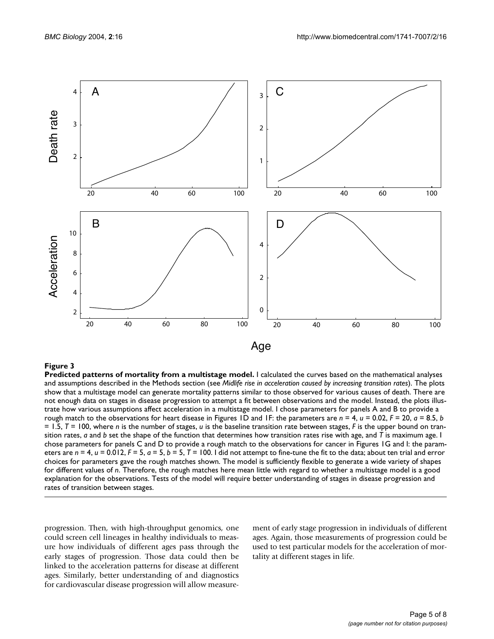

## **Figure 3**

**Predicted patterns of mortality from a multistage model.** I calculated the curves based on the mathematical analyses and assumptions described in the Methods section (see *Midlife rise in acceleration caused by increasing transition rates*). The plots show that a multistage model can generate mortality patterns similar to those observed for various causes of death. There are not enough data on stages in disease progression to attempt a fit between observations and the model. Instead, the plots illustrate how various assumptions affect acceleration in a multistage model. I chose parameters for panels A and B to provide a rough match to the observations for heart disease in Figures 1D and 1F: the parameters are *n* = 4, *u* = 0.02, *F* = 20, *a* = 8.5, *b*  = 1.5, *T* = 100, where *n* is the number of stages, *u* is the baseline transition rate between stages, *F* is the upper bound on transition rates, *a* and *b* set the shape of the function that determines how transition rates rise with age, and *T* is maximum age. I chose parameters for panels C and D to provide a rough match to the observations for cancer in Figures 1G and I: the parameters are  $n = 4$ ,  $u = 0.012$ ,  $F = 5$ ,  $a = 5$ ,  $b = 5$ ,  $T = 100$ . I did not attempt to fine-tune the fit to the data; about ten trial and error choices for parameters gave the rough matches shown. The model is sufficiently flexible to generate a wide variety of shapes for different values of *n*. Therefore, the rough matches here mean little with regard to whether a multistage model is a good explanation for the observations. Tests of the model will require better understanding of stages in disease progression and rates of transition between stages.

progression. Then, with high-throughput genomics, one could screen cell lineages in healthy individuals to measure how individuals of different ages pass through the early stages of progression. Those data could then be linked to the acceleration patterns for disease at different ages. Similarly, better understanding of and diagnostics for cardiovascular disease progression will allow measurement of early stage progression in individuals of different ages. Again, those measurements of progression could be used to test particular models for the acceleration of mortality at different stages in life.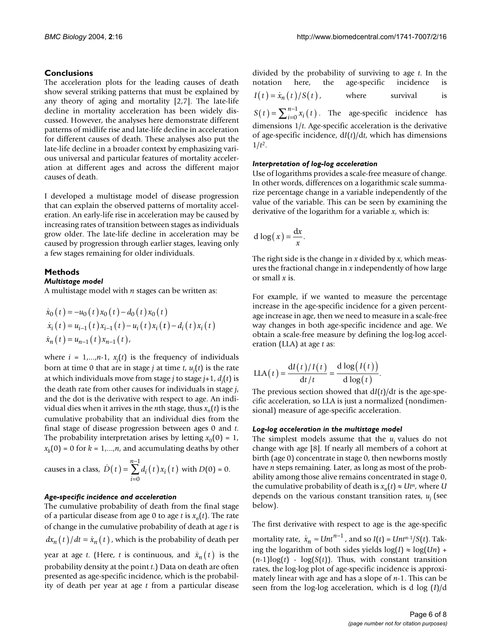## **Conclusions**

The acceleration plots for the leading causes of death show several striking patterns that must be explained by any theory of aging and mortality [2,7]. The late-life decline in mortality acceleration has been widely discussed. However, the analyses here demonstrate different patterns of midlife rise and late-life decline in acceleration for different causes of death. These analyses also put the late-life decline in a broader context by emphasizing various universal and particular features of mortality acceleration at different ages and across the different major causes of death.

I developed a multistage model of disease progression that can explain the observed patterns of mortality acceleration. An early-life rise in acceleration may be caused by increasing rates of transition between stages as individuals grow older. The late-life decline in acceleration may be caused by progression through earlier stages, leaving only a few stages remaining for older individuals.

## **Methods**

## *Multistage model*

A multistage model with *n* stages can be written as:

$$
\dot{x}_0(t) = -u_0(t)x_0(t) - d_0(t)x_0(t)
$$
  
\n
$$
\dot{x}_i(t) = u_{i-1}(t)x_{i-1}(t) - u_i(t)x_i(t) - d_i(t)x_i(t)
$$
  
\n
$$
\dot{x}_n(t) = u_{n-1}(t)x_{n-1}(t),
$$

where  $i = 1,...,n-1$ ,  $x_j(t)$  is the frequency of individuals born at time 0 that are in stage *j* at time *t*, *uj* (*t*) is the rate at which individuals move from stage *j* to stage *j*+1, *dj* (*t*) is the death rate from other causes for individuals in stage *j*, and the dot is the derivative with respect to age. An individual dies when it arrives in the *n*th stage, thus  $x_n(t)$  is the cumulative probability that an individual dies from the final stage of disease progression between ages 0 and *t*. The probability interpretation arises by letting  $x_0(0) = 1$ ,  $x_k(0) = 0$  for  $k = 1,...,n$ , and accumulating deaths by other

causes in a class, 
$$
\dot{D}(t) = \sum_{i=0}^{n-1} d_i(t) x_i(t)
$$
 with  $D(0) = 0$ .

## *Age-specific incidence and acceleration*

The cumulative probability of death from the final stage of a particular disease from age 0 to age *t* is  $x_n(t)$ . The rate of change in the cumulative probability of death at age *t* is  $dx_n(t)/dt = \dot{x}_n(t)$ , which is the probability of death per year at age *t*. (Here, *t* is continuous, and  $\dot{x}_n(t)$  is the probability density at the point *t*.) Data on death are often presented as age-specific incidence, which is the probability of death per year at age *t* from a particular disease

divided by the probability of surviving to age *t*. In the notation here, the age-specific incidence is where survival is  $S(t) = \sum_{i=0}^{n-1} x_i(t)$ . The age-specific incidence has dimensions 1/*t*. Age-specific acceleration is the derivative of age-specific incidence, d*I*(*t*)/d*t*, which has dimensions  $I(t) = \dot{x}_n(t) / S(t)$ ,

## *Interpretation of log-log acceleration*

Use of logarithms provides a scale-free measure of change. In other words, differences on a logarithmic scale summarize percentage change in a variable independently of the value of the variable. This can be seen by examining the derivative of the logarithm for a variable *x*, which is:

$$
d \log(x) = \frac{dx}{x}.
$$

 $1/t^2$ .

The right side is the change in *x* divided by *x*, which measures the fractional change in *x* independently of how large or small *x* is.

For example, if we wanted to measure the percentage increase in the age-specific incidence for a given percentage increase in age, then we need to measure in a scale-free way changes in both age-specific incidence and age. We obtain a scale-free measure by defining the log-log acceleration (LLA) at age *t* as:

$$
LLA(t) = \frac{dI(t)/I(t)}{dt/t} = \frac{d \log(I(t))}{d \log(t)}.
$$

The previous section showed that d*I*(*t*)/d*t* is the age-specific acceleration, so LLA is just a normalized (nondimensional) measure of age-specific acceleration.

## *Log-log acceleration in the multistage model*

The simplest models assume that the  $u_i$  values do not change with age [8]. If nearly all members of a cohort at birth (age 0) concentrate in stage 0, then newborns mostly have *n* steps remaining. Later, as long as most of the probability among those alive remains concentrated in stage 0, the cumulative probability of death is  $x_n(t) \approx Ut^n$ , where *U* depends on the various constant transition rates,  $u_i$  (see below).

The first derivative with respect to age is the age-specific

mortality rate,  $\dot{x}_n \approx Unt^{n-1}$ , and so  $I(t) = Unt^{n-1}/S(t)$ . Taking the logarithm of both sides yields  $log(I) \approx log(Un) +$  $(n-1)\log(t)$  -  $\log(S(t))$ . Thus, with constant transition rates, the log-log plot of age-specific incidence is approximately linear with age and has a slope of *n*-1. This can be seen from the log-log acceleration, which is d log (*I*)/d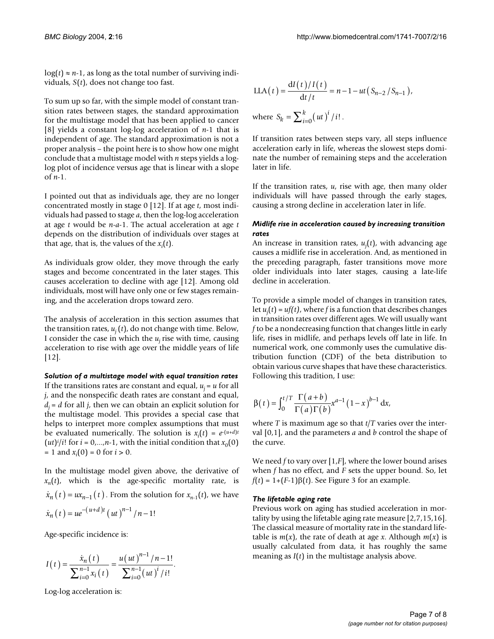$log(t) \approx n-1$ , as long as the total number of surviving individuals, *S*(*t*), does not change too fast.

To sum up so far, with the simple model of constant transition rates between stages, the standard approximation for the multistage model that has been applied to cancer [8] yields a constant log-log acceleration of *n*-1 that is independent of age. The standard approximation is not a proper analysis – the point here is to show how one might conclude that a multistage model with *n* steps yields a loglog plot of incidence versus age that is linear with a slope of *n*-1.

I pointed out that as individuals age, they are no longer concentrated mostly in stage 0 [12]. If at age *t*, most individuals had passed to stage *a*, then the log-log acceleration at age *t* would be *n*-*a*-1. The actual acceleration at age *t* depends on the distribution of individuals over stages at that age, that is, the values of the  $x_i(t)$ .

As individuals grow older, they move through the early stages and become concentrated in the later stages. This causes acceleration to decline with age [12]. Among old individuals, most will have only one or few stages remaining, and the acceleration drops toward zero.

The analysis of acceleration in this section assumes that the transition rates,  $u_i(t)$ , do not change with time. Below, I consider the case in which the  $u_j$  rise with time, causing acceleration to rise with age over the middle years of life [12].

*Solution of a multistage model with equal transition rates* If the transitions rates are constant and equal,  $u_i = u$  for all *j*, and the nonspecific death rates are constant and equal,  $d_i = d$  for all *j*, then we can obtain an explicit solution for the multistage model. This provides a special case that helps to interpret more complex assumptions that must be evaluated numerically. The solution is  $x_i(t) = e^{-(u+d)t}$  $(ut)^{i}/i!$  for  $i = 0,...,n-1$ , with the initial condition that  $x_0(0)$  $= 1$  and  $x_i(0) = 0$  for  $i > 0$ .

In the multistage model given above, the derivative of  $x_n(t)$ , which is the age-specific mortality rate, is  $\dot{x}_n(t) = ux_{n-1}(t)$ . From the solution for  $x_{n-1}(t)$ , we have  $\dot{x}_n(t) = ue^{-(u+d)t} (ut)^{n-1}/n-1!$ 

Age-specific incidence is:

$$
I(t) = \frac{\dot{x}_n(t)}{\sum_{i=0}^{n-1} x_i(t)} = \frac{u(ut)^{n-1}/n-1!}{\sum_{i=0}^{n-1} (ut)^i/i!}.
$$

Log-log acceleration is:

LLA(t) = 
$$
\frac{dI(t)/I(t)}{dt/t}
$$
 = n-1-ut(S<sub>n-2</sub>/S<sub>n-1</sub>),  
where S<sub>k</sub> =  $\sum_{i=0}^{k} (ut)^{i} / i!$ .

If transition rates between steps vary, all steps influence acceleration early in life, whereas the slowest steps dominate the number of remaining steps and the acceleration later in life.

If the transition rates, *u*, rise with age, then many older individuals will have passed through the early stages, causing a strong decline in acceleration later in life.

## *Midlife rise in acceleration caused by increasing transition rates*

An increase in transition rates, *uj* (*t*), with advancing age causes a midlife rise in acceleration. And, as mentioned in the preceding paragraph, faster transitions move more older individuals into later stages, causing a late-life decline in acceleration.

To provide a simple model of changes in transition rates, let *uj* (*t*) = *uf(t)*, where *f* is a function that describes changes in transition rates over different ages. We will usually want *f* to be a nondecreasing function that changes little in early life, rises in midlife, and perhaps levels off late in life. In numerical work, one commonly uses the cumulative distribution function (CDF) of the beta distribution to obtain various curve shapes that have these characteristics. Following this tradition, I use:

$$
\beta(t) = \int_0^{t/T} \frac{\Gamma(a+b)}{\Gamma(a)\Gamma(b)} x^{a-1} (1-x)^{b-1} dx,
$$

where *T* is maximum age so that *t*/*T* varies over the interval [0,1], and the parameters *a* and *b* control the shape of the curve.

We need *f* to vary over [1,*F*], where the lower bound arises when *f* has no effect, and *F* sets the upper bound. So, let  $f(t) = 1 + (F-1)\beta(t)$ . See Figure 3 for an example.

## *The lifetable aging rate*

Previous work on aging has studied acceleration in mortality by using the lifetable aging rate measure [2,7,15,16]. The classical measure of mortality rate in the standard lifetable is  $m(x)$ , the rate of death at age *x*. Although  $m(x)$  is usually calculated from data, it has roughly the same meaning as *I*(*t*) in the multistage analysis above.